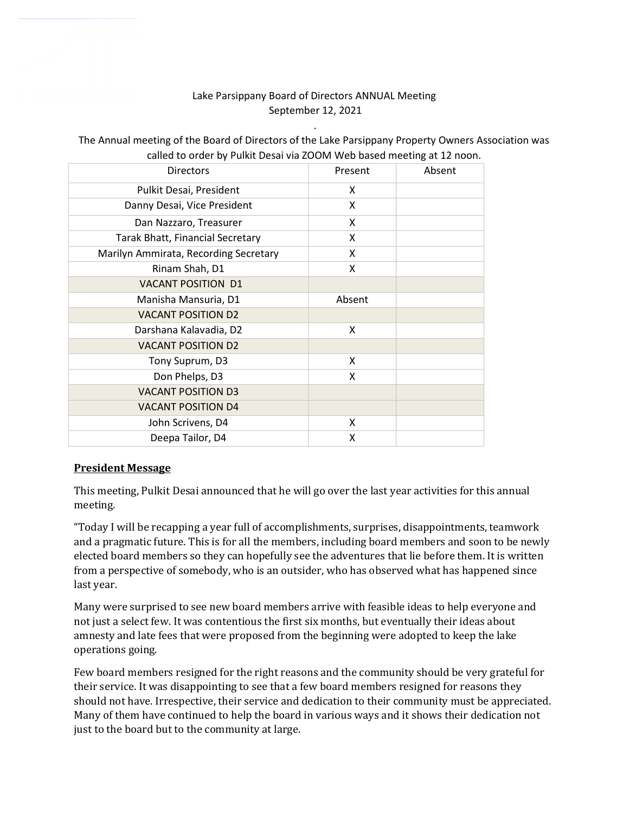## Lake Parsippany Board of Directors ANNUAL Meeting September 12, 2021

.

| canca to order by I annit besar via 2001. Ived based inceting at 12 noon. |         |        |
|---------------------------------------------------------------------------|---------|--------|
| <b>Directors</b>                                                          | Present | Absent |
| Pulkit Desai, President                                                   | X       |        |
| Danny Desai, Vice President                                               | X       |        |
| Dan Nazzaro, Treasurer                                                    | X       |        |
| <b>Tarak Bhatt, Financial Secretary</b>                                   | X       |        |
| Marilyn Ammirata, Recording Secretary                                     | X       |        |
| Rinam Shah, D1                                                            | X       |        |
| <b>VACANT POSITION D1</b>                                                 |         |        |
| Manisha Mansuria, D1                                                      | Absent  |        |
| <b>VACANT POSITION D2</b>                                                 |         |        |
| Darshana Kalavadia, D2                                                    | X       |        |
| <b>VACANT POSITION D2</b>                                                 |         |        |
| Tony Suprum, D3                                                           | X       |        |
| Don Phelps, D3                                                            | X       |        |
| <b>VACANT POSITION D3</b>                                                 |         |        |
| <b>VACANT POSITION D4</b>                                                 |         |        |
| John Scrivens, D4                                                         | X       |        |
| Deepa Tailor, D4                                                          | X       |        |
|                                                                           |         |        |

The Annual meeting of the Board of Directors of the Lake Parsippany Property Owners Association was called to order by Pulkit Desai via ZOOM Web based meeting at 12 noon.

## President Message

This meeting, Pulkit Desai announced that he will go over the last year activities for this annual meeting.

"Today I will be recapping a year full of accomplishments, surprises, disappointments, teamwork and a pragmatic future. This is for all the members, including board members and soon to be newly elected board members so they can hopefully see the adventures that lie before them. It is written from a perspective of somebody, who is an outsider, who has observed what has happened since last year.

Many were surprised to see new board members arrive with feasible ideas to help everyone and not just a select few. It was contentious the first six months, but eventually their ideas about amnesty and late fees that were proposed from the beginning were adopted to keep the lake operations going.

Few board members resigned for the right reasons and the community should be very grateful for their service. It was disappointing to see that a few board members resigned for reasons they should not have. Irrespective, their service and dedication to their community must be appreciated. Many of them have continued to help the board in various ways and it shows their dedication not just to the board but to the community at large.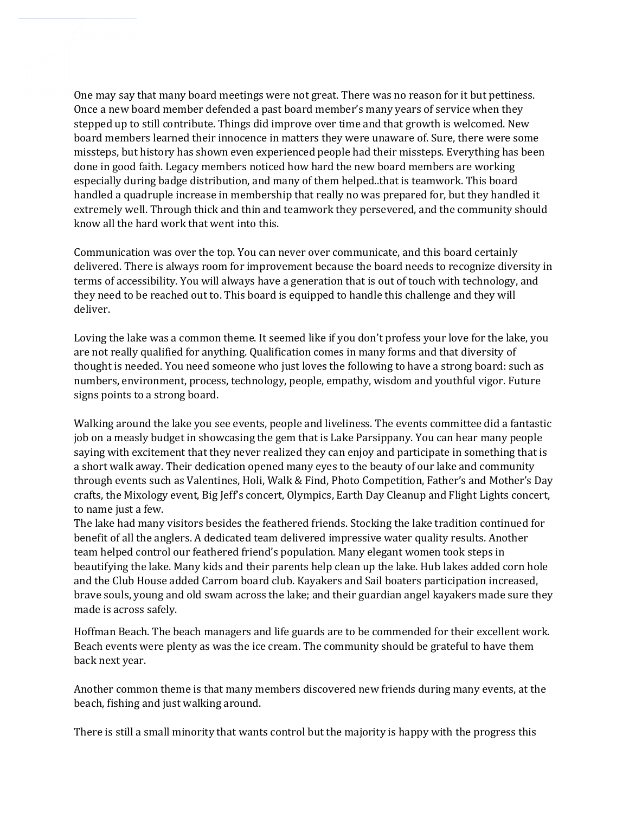One may say that many board meetings were not great. There was no reason for it but pettiness. Once a new board member defended a past board member's many years of service when they stepped up to still contribute. Things did improve over time and that growth is welcomed. New board members learned their innocence in matters they were unaware of. Sure, there were some missteps, but history has shown even experienced people had their missteps. Everything has been done in good faith. Legacy members noticed how hard the new board members are working especially during badge distribution, and many of them helped..that is teamwork. This board handled a quadruple increase in membership that really no was prepared for, but they handled it extremely well. Through thick and thin and teamwork they persevered, and the community should know all the hard work that went into this.

Communication was over the top. You can never over communicate, and this board certainly delivered. There is always room for improvement because the board needs to recognize diversity in terms of accessibility. You will always have a generation that is out of touch with technology, and they need to be reached out to. This board is equipped to handle this challenge and they will deliver.

Loving the lake was a common theme. It seemed like if you don't profess your love for the lake, you are not really qualified for anything. Qualification comes in many forms and that diversity of thought is needed. You need someone who just loves the following to have a strong board: such as numbers, environment, process, technology, people, empathy, wisdom and youthful vigor. Future signs points to a strong board.

Walking around the lake you see events, people and liveliness. The events committee did a fantastic job on a measly budget in showcasing the gem that is Lake Parsippany. You can hear many people saying with excitement that they never realized they can enjoy and participate in something that is a short walk away. Their dedication opened many eyes to the beauty of our lake and community through events such as Valentines, Holi, Walk & Find, Photo Competition, Father's and Mother's Day crafts, the Mixology event, Big Jeff's concert, Olympics, Earth Day Cleanup and Flight Lights concert, to name just a few.

The lake had many visitors besides the feathered friends. Stocking the lake tradition continued for benefit of all the anglers. A dedicated team delivered impressive water quality results. Another team helped control our feathered friend's population. Many elegant women took steps in beautifying the lake. Many kids and their parents help clean up the lake. Hub lakes added corn hole and the Club House added Carrom board club. Kayakers and Sail boaters participation increased, brave souls, young and old swam across the lake; and their guardian angel kayakers made sure they made is across safely.

Hoffman Beach. The beach managers and life guards are to be commended for their excellent work. Beach events were plenty as was the ice cream. The community should be grateful to have them back next year.

Another common theme is that many members discovered new friends during many events, at the beach, fishing and just walking around.

There is still a small minority that wants control but the majority is happy with the progress this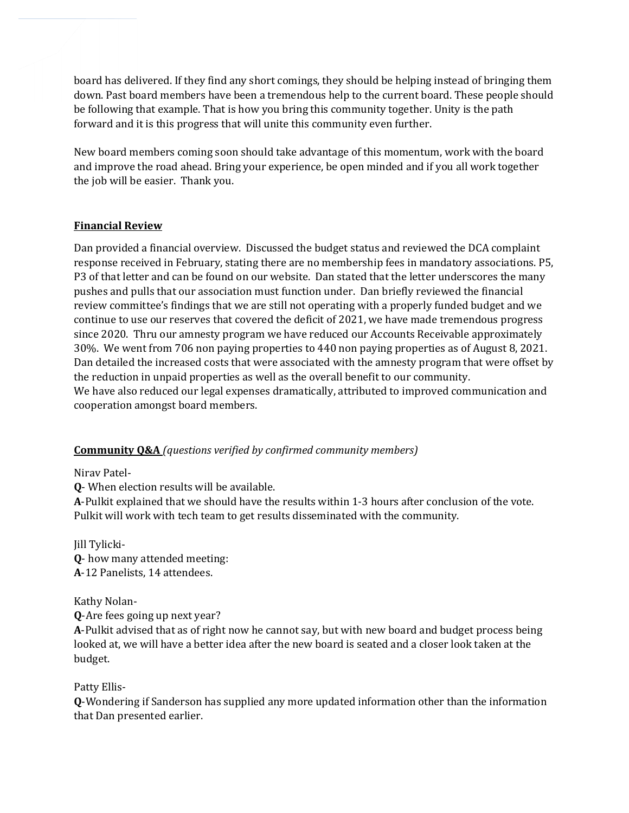board has delivered. If they find any short comings, they should be helping instead of bringing them down. Past board members have been a tremendous help to the current board. These people should be following that example. That is how you bring this community together. Unity is the path forward and it is this progress that will unite this community even further.

New board members coming soon should take advantage of this momentum, work with the board and improve the road ahead. Bring your experience, be open minded and if you all work together the job will be easier. Thank you.

## Financial Review

Dan provided a financial overview. Discussed the budget status and reviewed the DCA complaint response received in February, stating there are no membership fees in mandatory associations. P5, P3 of that letter and can be found on our website. Dan stated that the letter underscores the many pushes and pulls that our association must function under. Dan briefly reviewed the financial review committee's findings that we are still not operating with a properly funded budget and we continue to use our reserves that covered the deficit of 2021, we have made tremendous progress since 2020. Thru our amnesty program we have reduced our Accounts Receivable approximately 30%. We went from 706 non paying properties to 440 non paying properties as of August 8, 2021. Dan detailed the increased costs that were associated with the amnesty program that were offset by the reduction in unpaid properties as well as the overall benefit to our community. We have also reduced our legal expenses dramatically, attributed to improved communication and cooperation amongst board members.

## **Community O&A** (questions verified by confirmed community members)

Nirav Patel-

Q- When election results will be available.

A-Pulkit explained that we should have the results within 1-3 hours after conclusion of the vote. Pulkit will work with tech team to get results disseminated with the community.

Jill Tylicki-Q- how many attended meeting: A-12 Panelists, 14 attendees.

Kathy Nolan-

Q-Are fees going up next year?

A-Pulkit advised that as of right now he cannot say, but with new board and budget process being looked at, we will have a better idea after the new board is seated and a closer look taken at the budget.

Patty Ellis-

Q-Wondering if Sanderson has supplied any more updated information other than the information that Dan presented earlier.